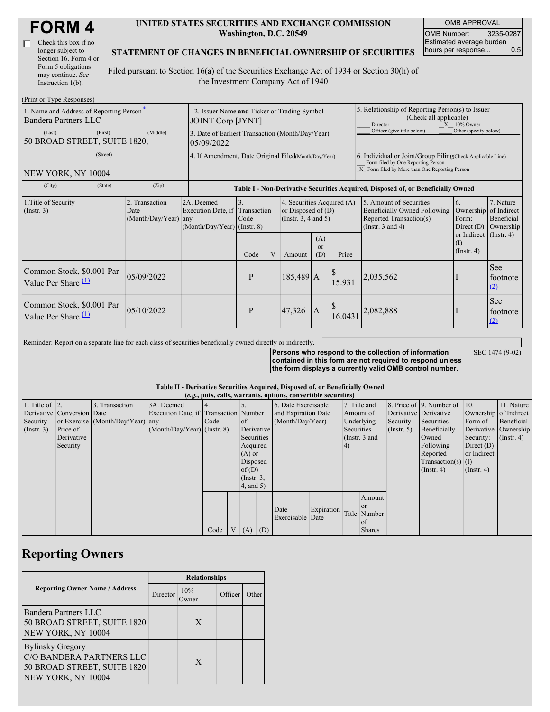| Check this box if no  |
|-----------------------|
| longer subject to     |
| Section 16. Form 4 or |
| Form 5 obligations    |
| may continue. See     |
| Instruction 1(b).     |

#### **UNITED STATES SECURITIES AND EXCHANGE COMMISSION Washington, D.C. 20549**

OMB APPROVAL OMB Number: 3235-0287 Estimated average burden hours per response... 0.5

### **STATEMENT OF CHANGES IN BENEFICIAL OWNERSHIP OF SECURITIES**

Filed pursuant to Section 16(a) of the Securities Exchange Act of 1934 or Section 30(h) of the Investment Company Act of 1940

| (Print or Type Responses)                                        |                                                                         |                                                                             |                                                                                  |                         |                                                                                |                  |                                                                                                                                                    |                                                                                                             |                                                                                      |                                      |
|------------------------------------------------------------------|-------------------------------------------------------------------------|-----------------------------------------------------------------------------|----------------------------------------------------------------------------------|-------------------------|--------------------------------------------------------------------------------|------------------|----------------------------------------------------------------------------------------------------------------------------------------------------|-------------------------------------------------------------------------------------------------------------|--------------------------------------------------------------------------------------|--------------------------------------|
| 1. Name and Address of Reporting Person-<br>Bandera Partners LLC | 2. Issuer Name and Ticker or Trading Symbol<br><b>JOINT Corp [JYNT]</b> |                                                                             |                                                                                  |                         |                                                                                |                  | 5. Relationship of Reporting Person(s) to Issuer<br>(Check all applicable)<br>Director<br>$X = 10\%$ Owner                                         |                                                                                                             |                                                                                      |                                      |
| (First)<br>(Last)<br>50 BROAD STREET, SUITE 1820,                | 3. Date of Earliest Transaction (Month/Day/Year)<br>05/09/2022          |                                                                             |                                                                                  |                         |                                                                                |                  | Officer (give title below)                                                                                                                         | Other (specify below)                                                                                       |                                                                                      |                                      |
| (Street)<br>NEW YORK, NY 10004                                   | 4. If Amendment, Date Original Filed(Month/Day/Year)                    |                                                                             |                                                                                  |                         |                                                                                |                  | 6. Individual or Joint/Group Filing(Check Applicable Line)<br>Form filed by One Reporting Person<br>X Form filed by More than One Reporting Person |                                                                                                             |                                                                                      |                                      |
| (City)<br>(State)                                                | (Zip)                                                                   |                                                                             | Table I - Non-Derivative Securities Acquired, Disposed of, or Beneficially Owned |                         |                                                                                |                  |                                                                                                                                                    |                                                                                                             |                                                                                      |                                      |
| 1. Title of Security<br>(Insert. 3)                              | 2. Transaction<br>Date<br>(Month/Day/Year) any                          | 2A. Deemed<br>Execution Date, if Transaction<br>(Month/Day/Year) (Instr. 8) | $\overline{3}$ .<br>Code                                                         |                         | 4. Securities Acquired (A)<br>or Disposed of $(D)$<br>(Instr. $3, 4$ and $5$ ) |                  |                                                                                                                                                    | 5. Amount of Securities<br>Beneficially Owned Following<br>Reported Transaction(s)<br>(Instr. $3$ and $4$ ) | 6.<br>Ownership of Indirect<br>Form:<br>Direct $(D)$<br>or Indirect $($ Instr. 4 $)$ | 7. Nature<br>Beneficial<br>Ownership |
|                                                                  |                                                                         |                                                                             | Code                                                                             | $\overline{\mathsf{V}}$ | Amount                                                                         | (A)<br>or<br>(D) | Price                                                                                                                                              |                                                                                                             | $\rm (1)$<br>$($ Instr. 4 $)$                                                        |                                      |
| Common Stock, \$0.001 Par<br>Value Per Share $\Box$              | 05/09/2022                                                              |                                                                             | P                                                                                |                         | 185,489 A                                                                      |                  | S<br>15.931                                                                                                                                        | 2,035,562                                                                                                   |                                                                                      | See<br>footnote<br>(2)               |
| Common Stock, \$0.001 Par<br>Value Per Share $\mathcal{P}$       | 05/10/2022                                                              |                                                                             | $\mathbf{P}$                                                                     |                         | 47,326                                                                         | $\overline{A}$   | 16.043                                                                                                                                             | 2,082,888                                                                                                   |                                                                                      | <b>See</b><br>footnote<br>(2)        |

Reminder: Report on a separate line for each class of securities beneficially owned directly or indirectly.

SEC 1474 (9-02)

**Persons who respond to the collection of information contained in this form are not required to respond unless the form displays a currently valid OMB control number.**

#### **Table II - Derivative Securities Acquired, Disposed of, or Beneficially Owned**

| (e.g., puts, calls, warrants, options, convertible securities) |                            |                                  |                                       |      |  |                  |                  |                          |               |            |               |              |                              |                       |            |
|----------------------------------------------------------------|----------------------------|----------------------------------|---------------------------------------|------|--|------------------|------------------|--------------------------|---------------|------------|---------------|--------------|------------------------------|-----------------------|------------|
| 1. Title of $\vert$ 2.                                         |                            | 3. Transaction                   | 3A. Deemed                            |      |  |                  |                  | 6. Date Exercisable      |               |            | 7. Title and  |              | 8. Price of 9. Number of 10. |                       | 11. Nature |
|                                                                | Derivative Conversion Date |                                  | Execution Date, if Transaction Number |      |  |                  |                  | and Expiration Date      |               | Amount of  |               |              | Derivative Derivative        | Ownership of Indirect |            |
| Security                                                       |                            | or Exercise (Month/Day/Year) any |                                       | Code |  | $\circ$ f        | (Month/Day/Year) |                          |               | Underlying |               | Security     | Securities                   | Form of               | Beneficial |
| (Insert. 3)                                                    | Price of                   |                                  | $(Month/Day/Year)$ (Instr. 8)         |      |  |                  | Derivative       |                          | Securities    |            | (Insert. 5)   | Beneficially |                              | Derivative Ownership  |            |
|                                                                | Derivative                 |                                  |                                       |      |  |                  | Securities       |                          | (Instr. 3 and |            |               | Owned        | Security:                    | $($ Instr. 4 $)$      |            |
|                                                                | Security                   |                                  |                                       |      |  | Acquired         |                  |                          |               | $\vert 4)$ |               |              | Following                    | Direct $(D)$          |            |
|                                                                |                            |                                  |                                       |      |  | $(A)$ or         |                  |                          |               |            |               |              | Reported                     | or Indirect           |            |
|                                                                |                            |                                  |                                       |      |  | Disposed         |                  |                          |               |            |               |              | $Transaction(s)$ (I)         |                       |            |
|                                                                |                            |                                  |                                       |      |  | of $(D)$         |                  |                          |               |            |               |              | $($ Instr. 4 $)$             | $($ Instr. 4 $)$      |            |
|                                                                |                            |                                  |                                       |      |  | $($ Instr. $3$ , |                  |                          |               |            |               |              |                              |                       |            |
|                                                                |                            |                                  |                                       |      |  |                  | 4, and 5)        |                          |               |            |               |              |                              |                       |            |
|                                                                |                            |                                  |                                       |      |  |                  |                  |                          |               |            | Amount        |              |                              |                       |            |
|                                                                |                            |                                  |                                       |      |  |                  |                  |                          |               |            | <b>or</b>     |              |                              |                       |            |
|                                                                |                            |                                  |                                       |      |  |                  |                  | Date<br>Exercisable Date | Expiration    |            | Title Number  |              |                              |                       |            |
|                                                                |                            |                                  |                                       |      |  |                  |                  |                          |               |            | <b>of</b>     |              |                              |                       |            |
|                                                                |                            |                                  |                                       | Code |  | $(A)$ $(D)$      |                  |                          |               |            | <b>Shares</b> |              |                              |                       |            |

# **Reporting Owners**

|                                                                                                          | <b>Relationships</b> |               |  |       |  |  |
|----------------------------------------------------------------------------------------------------------|----------------------|---------------|--|-------|--|--|
| <b>Reporting Owner Name / Address</b>                                                                    | Director             | 10%<br>Dwner) |  | Other |  |  |
| Bandera Partners LLC<br>50 BROAD STREET, SUITE 1820<br>NEW YORK, NY 10004                                |                      | X             |  |       |  |  |
| <b>Bylinsky Gregory</b><br>C/O BANDERA PARTNERS LLC<br>50 BROAD STREET, SUITE 1820<br>NEW YORK, NY 10004 |                      | X             |  |       |  |  |